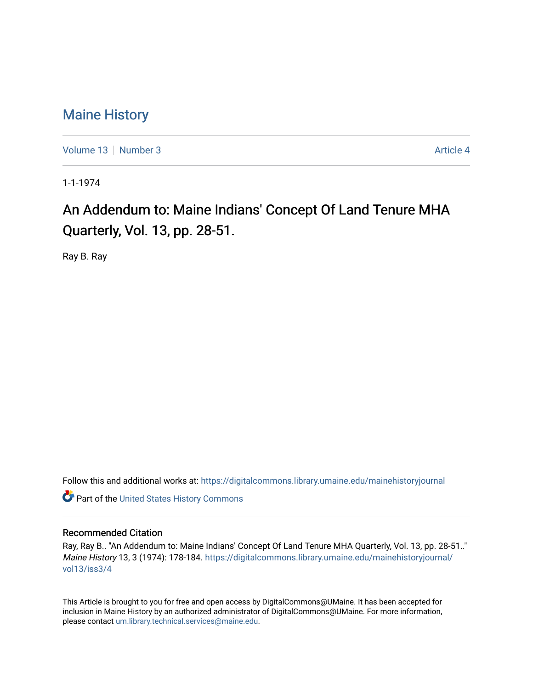## [Maine History](https://digitalcommons.library.umaine.edu/mainehistoryjournal)

[Volume 13](https://digitalcommons.library.umaine.edu/mainehistoryjournal/vol13) [Number 3](https://digitalcommons.library.umaine.edu/mainehistoryjournal/vol13/iss3) Article 4

1-1-1974

# An Addendum to: Maine Indians' Concept Of Land Tenure MHA Quarterly, Vol. 13, pp. 28-51.

Ray B. Ray

Follow this and additional works at: [https://digitalcommons.library.umaine.edu/mainehistoryjournal](https://digitalcommons.library.umaine.edu/mainehistoryjournal?utm_source=digitalcommons.library.umaine.edu%2Fmainehistoryjournal%2Fvol13%2Fiss3%2F4&utm_medium=PDF&utm_campaign=PDFCoverPages) 

**Part of the United States History Commons** 

#### Recommended Citation

Ray, Ray B.. "An Addendum to: Maine Indians' Concept Of Land Tenure MHA Quarterly, Vol. 13, pp. 28-51.." Maine History 13, 3 (1974): 178-184. [https://digitalcommons.library.umaine.edu/mainehistoryjournal/](https://digitalcommons.library.umaine.edu/mainehistoryjournal/vol13/iss3/4?utm_source=digitalcommons.library.umaine.edu%2Fmainehistoryjournal%2Fvol13%2Fiss3%2F4&utm_medium=PDF&utm_campaign=PDFCoverPages) [vol13/iss3/4](https://digitalcommons.library.umaine.edu/mainehistoryjournal/vol13/iss3/4?utm_source=digitalcommons.library.umaine.edu%2Fmainehistoryjournal%2Fvol13%2Fiss3%2F4&utm_medium=PDF&utm_campaign=PDFCoverPages)

This Article is brought to you for free and open access by DigitalCommons@UMaine. It has been accepted for inclusion in Maine History by an authorized administrator of DigitalCommons@UMaine. For more information, please contact [um.library.technical.services@maine.edu.](mailto:um.library.technical.services@maine.edu)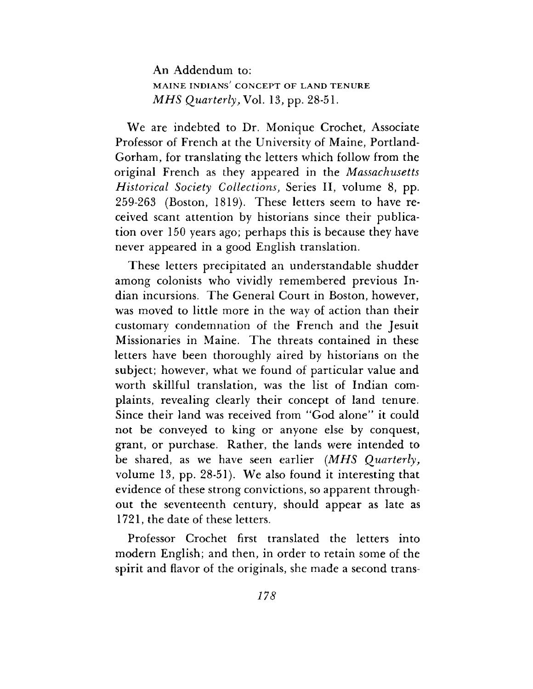An Addendum to: **MAINE INDIANS' CONCEPT OF LAND TENURE** *MHS Quarterly*, Vol. 13, pp. 28-51.

We are indebted to Dr. Monique Crochet, Associate Professor of French at the University of Maine, Portland-Gorham, for translating the letters which follow from the original French as they appeared in the *Massachusetts Historical Society Collections,* Series II, volume 8, pp. 259-263 (Boston, 1819). These letters seem to have received scant attention by historians since their publication over 150 years ago; perhaps this is because they have never appeared in a good English translation.

These letters precipitated an understandable shudder among colonists who vividly remembered previous Indian incursions. The General Court in Boston, however, was moved to little more in the way of action than their customary condemnation of the French and the Jesuit Missionaries in Maine. The threats contained in these letters have been thoroughly aired by historians on the subject; however, what we found of particular value and worth skillful translation, was the list of Indian complaints, revealing clearly their concept of land tenure. Since their land was received from "God alone" it could not be conveyed to king or anyone else by conquest, grant, or purchase. Rather, the lands were intended to be shared, as we have seen earlier *(MHS Quarterly,* volume 13, pp. 28-51). We also found it interesting that evidence of these strong convictions, so apparent throughout the seventeenth century, should appear as late as 1721, the date of these letters.

Professor Crochet first translated the letters into modern English; and then, in order to retain some of the spirit and flavor of the originals, she made a second trans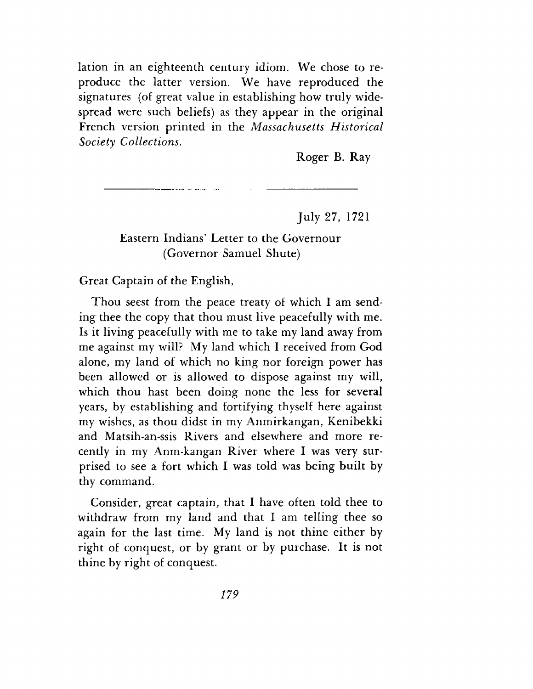lation in an eighteenth century idiom. We chose to reproduce the latter version. We have reproduced the signatures (of great value in establishing how truly widespread were such beliefs) as they appear in the original French version printed in the *Massachusetts Historical Society Collections.*

Roger B. Ray

July 27, 1721

## Eastern Indians' Letter to the Governour (Governor Samuel Shute)

Great Captain of the English,

Thou seest from the peace treaty of which I am sending thee the copy that thou must live peacefully with me. Is it living peacefully with me to take my land away from me against my will? My land which I received from God alone, my land of which no king nor foreign power has been allowed or is allowed to dispose against my will, which thou hast been doing none the less for several years, by establishing and fortifying thyself here against my wishes, as thou didst in my Anmirkangan, Kenibekki and Matsih-an-ssis Rivers and elsewhere and more recently in my Anm-kangan River where I was very surprised to see a fort which I was told was being built by thy command.

Consider, great captain, that I have often told thee to withdraw from my land and that I am telling thee so again for the last time. My land is not thine either by right of conquest, or by grant or by purchase. It is not thine by right of conquest.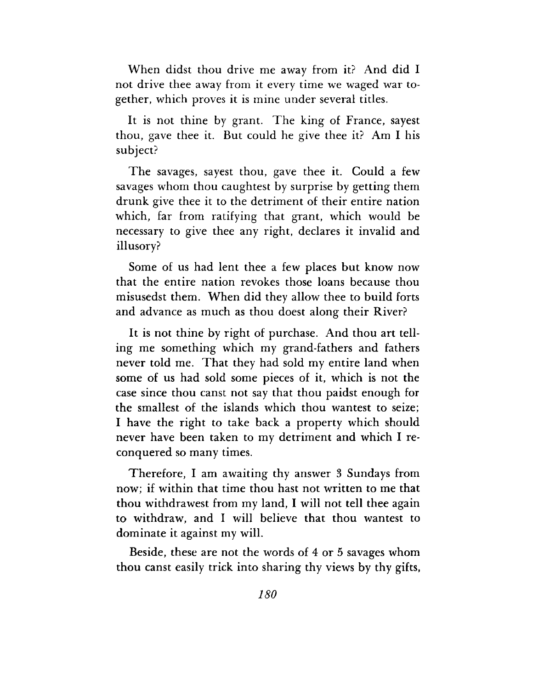When didst thou drive me away from it? And did I not drive thee away from it every time we waged war together, which proves it is mine under several titles.

It is not thine by grant. The king of France, sayest thou, gave thee it. But could he give thee it? Am I his subject?

The savages, sayest thou, gave thee it. Could a few savages whom thou caughtest by surprise by getting them drunk give thee it to the detriment of their entire nation which, far from ratifying that grant, which would be necessary to give thee any right, declares it invalid and illusory?

Some of us had lent thee a few places but know now that the entire nation revokes those loans because thou misusedst them. When did they allow thee to build forts and advance as much as thou doest along their River?

It is not thine by right of purchase. And thou art telling me something which my grand-fathers and fathers never told me. That they had sold my entire land when some of us had sold some pieces of it, which is not the case since thou canst not say that thou paidst enough for the smallest of the islands which thou wantest to seize; I have the right to take back a property which should never have been taken to my detriment and which I reconquered so many times.

Therefore, I am awaiting thy answer <sup>3</sup> Sundays from now; if within that time thou hast not written to me that thou withdrawest from my land, I will not tell thee again to withdraw, and I will believe that thou wantest to dominate it against my will.

Beside, these are not the words of 4 or 5 savages whom thou canst easily trick into sharing thy views by thy gifts,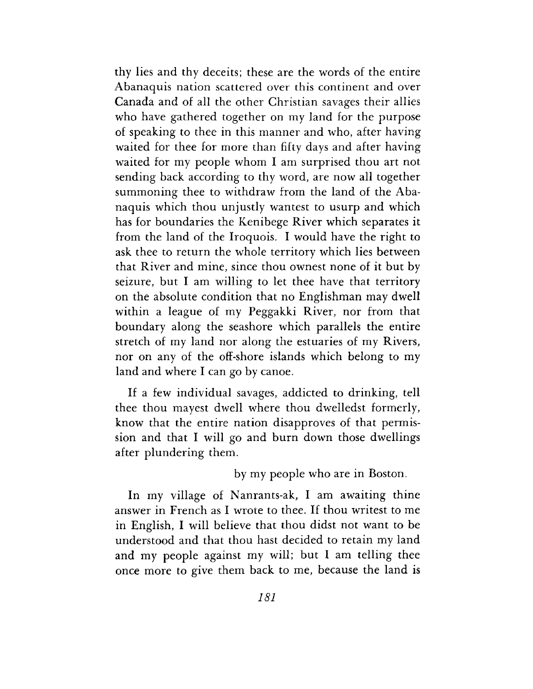thy lies and thy deceits; these are the words of the entire Abanaquis nation scattered over this continent and over Canada and of all the other Christian savages their allies who have gathered together on my land for the purpose of speaking to thee in this manner and who, after having waited for thee for more than fifty days and after having waited for my people whom I am surprised thou art not sending back according to thy word, are now all together summoning thee to withdraw from the land of the Abanaquis which thou unjustly wantest to usurp and which has for boundaries the Kenibege River which separates it from the land of the Iroquois. I would have the right to ask thee to return the whole territory which lies between that River and mine, since thou ownest none of it but by seizure, but I am willing to let thee have that territory on the absolute condition that no Englishman may dwell within a league of my Peggakki River, nor from that boundary along the seashore which parallels the entire stretch of my land nor along the estuaries of my Rivers, nor on any of the off-shore islands which belong to my land and where I can go by canoe.

If a few individual savages, addicted to drinking, tell thee thou mayest dwell where thou dwelledst formerly, know that the entire nation disapproves of that permission and that I will go and burn down those dwellings after plundering them.

by my people who are in Boston.

In my village of Nanrants-ak, I am awaiting thine answer in French as I wrote to thee. If thou writest to me in English, I will believe that thou didst not want to be understood and that thou hast decided to retain my land and my people against my will; but I am telling thee once more to give them back to me, because the land is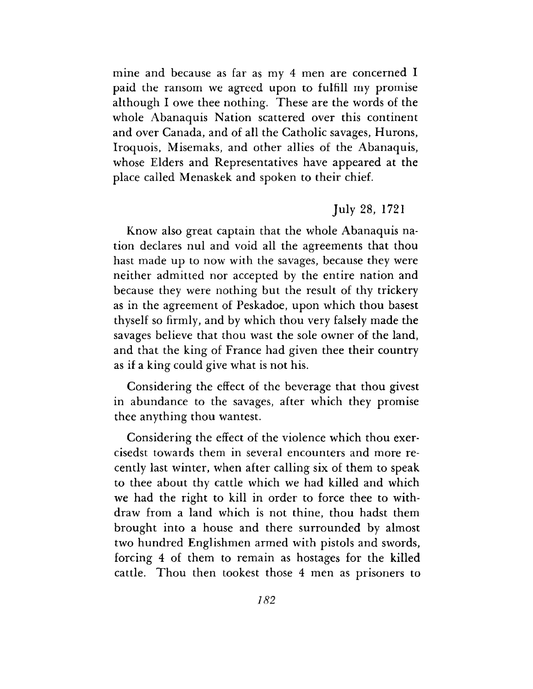mine and because as far as my 4 men are concerned I paid the ransom we agreed upon to fulfill my promise although I owe thee nothing. These are the words of the whole Abanaquis Nation scattered over this continent and over Canada, and of all the Catholic savages, Hurons, Iroquois, Misemaks, and other allies of the Abanaquis, whose Elders and Representatives have appeared at the place called Menaskek and spoken to their chief.

### July 28, 1721

Know also great captain that the whole Abanaquis nation declares nul and void all the agreements that thou hast made up to now with the savages, because they were neither admitted nor accepted by the entire nation and because they were nothing but the result of thy trickery as in the agreement of Peskadoe, upon which thou basest thyself so firmly, and by which thou very falsely made the savages believe that thou wast the sole owner of the land, and that the king of France had given thee their country as if a king could give what is not his.

Considering the effect of the beverage that thou givest in abundance to the savages, after which they promise thee anything thou wantest.

Considering the effect of the violence which thou exercisedst towards them in several encounters and more recently last winter, when after calling six of them to speak to thee about thy cattle which we had killed and which we had the right to kill in order to force thee to withdraw from a land which is not thine, thou hadst them brought into a house and there surrounded by almost two hundred Englishmen armed with pistols and swords, forcing 4 of them to remain as hostages for the killed cattle. Thou then tookest those 4 men as prisoners to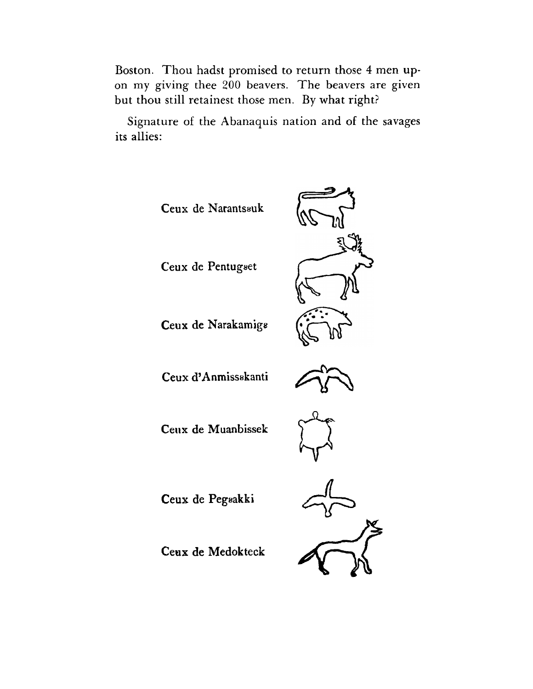Boston. Thou hadst promised to return those 4 men upon my giving thee 200 beavers. The beavers are given but thou still retainest those men. By what right?

Signature of the Abanaquis nation and of the savages its allies: